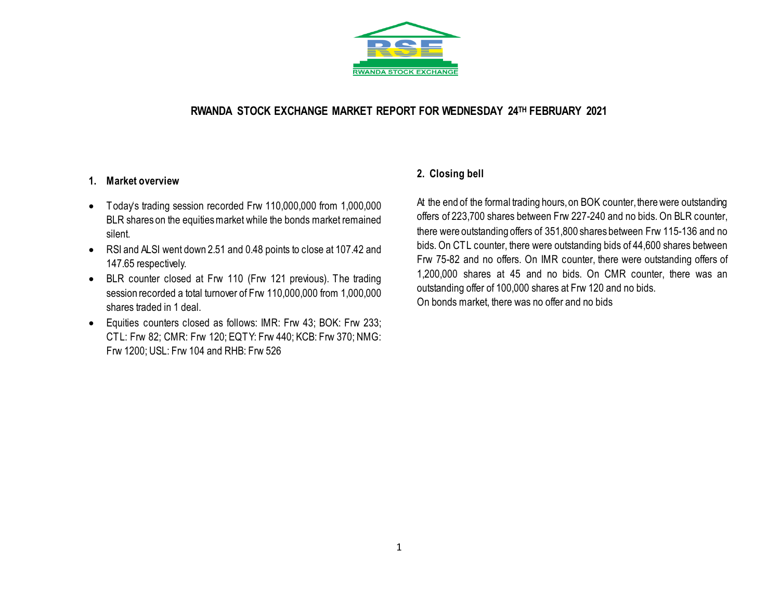

# **RWANDA STOCK EXCHANGE MARKET REPORT FOR WEDNESDAY 24 TH FEBRUARY 2021**

## **1. Market overview**

- Today's trading session recorded Frw 110,000,000 from 1,000,000 BLR shares on the equities market while the bonds market remained silent.
- RSI and ALSI went down 2.51 and 0.48 points to close at 107.42 and 147.65 respectively.
- BLR counter closed at Frw 110 (Frw 121 previous). The trading session recorded a total turnover of Frw 110,000,000 from 1,000,000 shares traded in 1 deal.
- Equities counters closed as follows: IMR: Frw 43; BOK: Frw 233; CTL: Frw 82; CMR: Frw 120; EQTY: Frw 440; KCB: Frw 370; NMG: Frw 1200; USL: Frw 104 and RHB: Frw 526

# **2. Closing bell**

At the end of the formal trading hours, on BOK counter, there were outstanding offers of 223,700 shares between Frw 227-240 and no bids. On BLR counter, there were outstanding offers of 351,800 shares between Frw 115-136 and no bids. On CTL counter, there were outstanding bids of 44,600 shares between Frw 75-82 and no offers. On IMR counter, there were outstanding offers of 1,200,000 shares at 45 and no bids. On CMR counter, there was an outstanding offer of 100,000 shares at Frw 120 and no bids. On bonds market, there was no offer and no bids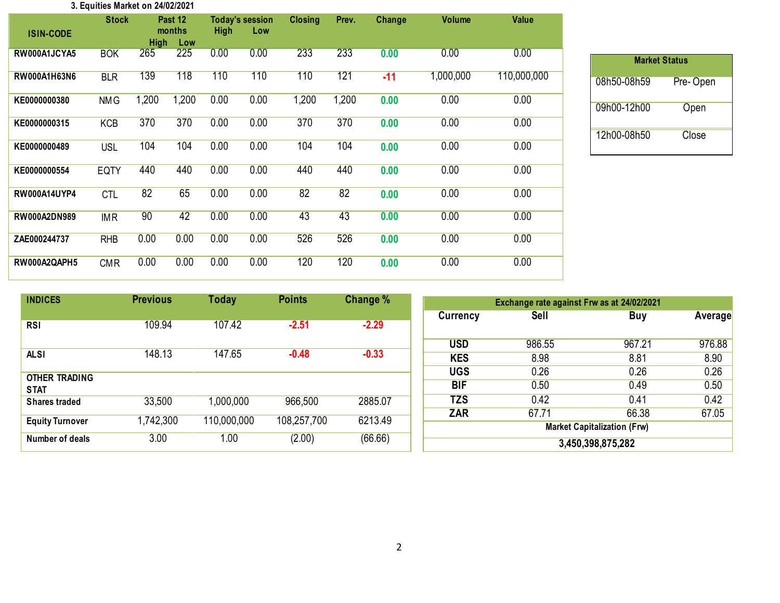#### **3. Equities Market on 24/02/2021**

| <b>ISIN-CODE</b>    | <b>Stock</b> | <b>High</b> | Past 12<br>months<br>Low | High | <b>Today's session</b><br>Low | <b>Closing</b> | Prev. | Change | <b>Volume</b> | <b>Value</b> |
|---------------------|--------------|-------------|--------------------------|------|-------------------------------|----------------|-------|--------|---------------|--------------|
| RW000A1JCYA5        | <b>BOK</b>   | 265         | 225                      | 0.00 | 0.00                          | 233            | 233   | 0.00   | 0.00          | 0.00         |
| RW000A1H63N6        | <b>BLR</b>   | 139         | 118                      | 110  | 110                           | 110            | 121   | $-11$  | 1,000,000     | 110,000,000  |
| KE0000000380        | <b>NMG</b>   | 1,200       | 1,200                    | 0.00 | 0.00                          | 1,200          | 1,200 | 0.00   | 0.00          | 0.00         |
| KE0000000315        | <b>KCB</b>   | 370         | 370                      | 0.00 | 0.00                          | 370            | 370   | 0.00   | 0.00          | 0.00         |
| KE0000000489        | <b>USL</b>   | 104         | 104                      | 0.00 | 0.00                          | 104            | 104   | 0.00   | 0.00          | 0.00         |
| KE0000000554        | <b>EQTY</b>  | 440         | 440                      | 0.00 | 0.00                          | 440            | 440   | 0.00   | 0.00          | 0.00         |
| <b>RW000A14UYP4</b> | <b>CTL</b>   | 82          | 65                       | 0.00 | 0.00                          | 82             | 82    | 0.00   | 0.00          | 0.00         |
| <b>RW000A2DN989</b> | <b>IMR</b>   | 90          | 42                       | 0.00 | 0.00                          | 43             | 43    | 0.00   | 0.00          | 0.00         |
| ZAE000244737        | <b>RHB</b>   | 0.00        | 0.00                     | 0.00 | 0.00                          | 526            | 526   | 0.00   | 0.00          | 0.00         |
| RW000A2QAPH5        | <b>CMR</b>   | 0.00        | 0.00                     | 0.00 | 0.00                          | 120            | 120   | 0.00   | 0.00          | 0.00         |

| <b>Market Status</b> |          |  |  |  |  |  |  |  |  |
|----------------------|----------|--|--|--|--|--|--|--|--|
| 08h50-08h59          | Pre-Open |  |  |  |  |  |  |  |  |
| 09h00-12h00          | Open     |  |  |  |  |  |  |  |  |
| 12h00-08h50          | Close    |  |  |  |  |  |  |  |  |

| <b>INDICES</b>                      | <b>Previous</b> | Today       | <b>Points</b> | <b>Change</b> % | Exchange rate against Frw as at 24/02/2021 |        |        |         |  |
|-------------------------------------|-----------------|-------------|---------------|-----------------|--------------------------------------------|--------|--------|---------|--|
|                                     |                 |             |               |                 | Currency                                   | Sell   | Buy    | Average |  |
| <b>RSI</b>                          | 109.94          | 107.42      | $-2.51$       | $-2.29$         |                                            |        |        |         |  |
|                                     |                 |             |               |                 | <b>USD</b>                                 | 986.55 | 967.21 | 976.88  |  |
| <b>ALSI</b>                         | 148.13          | 147.65      | $-0.48$       | $-0.33$         | <b>KES</b>                                 | 8.98   | 8.81   | 8.90    |  |
|                                     |                 |             |               |                 | <b>UGS</b>                                 | 0.26   | 0.26   | 0.26    |  |
| <b>OTHER TRADING</b><br><b>STAT</b> |                 |             |               |                 | <b>BIF</b>                                 | 0.50   | 0.49   | 0.50    |  |
| <b>Shares traded</b>                | 33,500          | 1,000,000   | 966,500       | 2885.07         | <b>TZS</b>                                 | 0.42   | 0.41   | 0.42    |  |
|                                     |                 |             |               |                 | <b>ZAR</b>                                 | 67.71  | 66.38  | 67.05   |  |
| <b>Equity Turnover</b>              | 1,742,300       | 110,000,000 | 108,257,700   | 6213.49         | <b>Market Capitalization (Frw)</b>         |        |        |         |  |
| Number of deals                     | 3.00            | 1.00        | (2.00)        | (66.66)         | 3,450,398,875,282                          |        |        |         |  |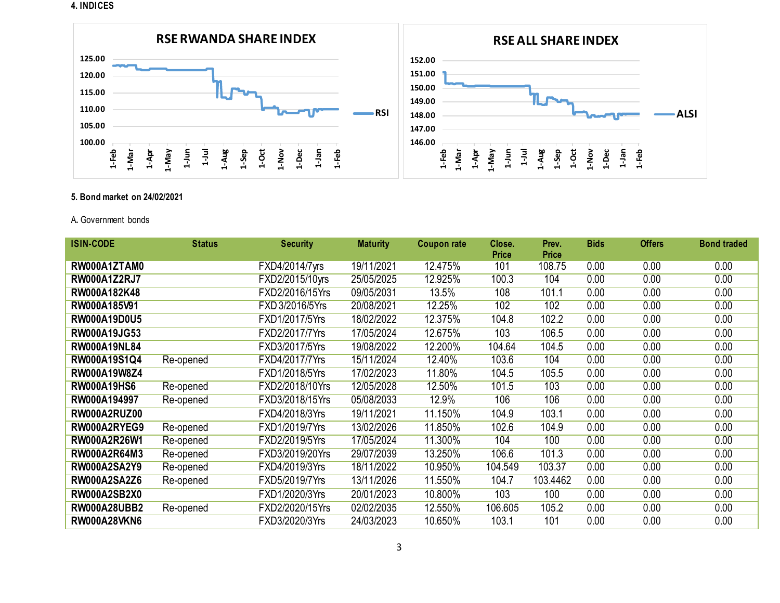#### **4. INDICES**



### **5. Bond market on 24/02/2021**

### A**.** Government bonds

| <b>ISIN-CODE</b>    | <b>Status</b> | <b>Security</b> | <b>Maturity</b> | <b>Coupon rate</b> | Close.<br><b>Price</b> | Prev.<br><b>Price</b> | <b>Bids</b> | <b>Offers</b> | <b>Bond traded</b> |
|---------------------|---------------|-----------------|-----------------|--------------------|------------------------|-----------------------|-------------|---------------|--------------------|
| RW000A1ZTAM0        |               | FXD4/2014/7yrs  | 19/11/2021      | 12.475%            | 101                    | 108.75                | 0.00        | 0.00          | 0.00               |
| <b>RW000A1Z2RJ7</b> |               | FXD2/2015/10yrs | 25/05/2025      | 12.925%            | 100.3                  | 104                   | 0.00        | 0.00          | 0.00               |
| RW000A182K48        |               | FXD2/2016/15Yrs | 09/05/2031      | 13.5%              | 108                    | 101.1                 | 0.00        | 0.00          | 0.00               |
| RW000A185V91        |               | FXD 3/2016/5Yrs | 20/08/2021      | 12.25%             | 102                    | 102                   | 0.00        | 0.00          | 0.00               |
| <b>RW000A19D0U5</b> |               | FXD1/2017/5Yrs  | 18/02/2022      | 12.375%            | 104.8                  | 102.2                 | 0.00        | 0.00          | 0.00               |
| RW000A19JG53        |               | FXD2/2017/7Yrs  | 17/05/2024      | 12.675%            | 103                    | 106.5                 | 0.00        | 0.00          | 0.00               |
| <b>RW000A19NL84</b> |               | FXD3/2017/5Yrs  | 19/08/2022      | 12.200%            | 104.64                 | 104.5                 | 0.00        | 0.00          | 0.00               |
| RW000A19S1Q4        | Re-opened     | FXD4/2017/7Yrs  | 15/11/2024      | 12.40%             | 103.6                  | 104                   | 0.00        | 0.00          | 0.00               |
| RW000A19W8Z4        |               | FXD1/2018/5Yrs  | 17/02/2023      | 11.80%             | 104.5                  | 105.5                 | 0.00        | 0.00          | 0.00               |
| <b>RW000A19HS6</b>  | Re-opened     | FXD2/2018/10Yrs | 12/05/2028      | 12.50%             | 101.5                  | 103                   | 0.00        | 0.00          | 0.00               |
| RW000A194997        | Re-opened     | FXD3/2018/15Yrs | 05/08/2033      | 12.9%              | 106                    | 106                   | 0.00        | 0.00          | 0.00               |
| <b>RW000A2RUZ00</b> |               | FXD4/2018/3Yrs  | 19/11/2021      | 11.150%            | 104.9                  | 103.1                 | 0.00        | 0.00          | 0.00               |
| RW000A2RYEG9        | Re-opened     | FXD1/2019/7Yrs  | 13/02/2026      | 11.850%            | 102.6                  | 104.9                 | 0.00        | 0.00          | 0.00               |
| RW000A2R26W1        | Re-opened     | FXD2/2019/5Yrs  | 17/05/2024      | 11.300%            | 104                    | 100                   | 0.00        | 0.00          | 0.00               |
| <b>RW000A2R64M3</b> | Re-opened     | FXD3/2019/20Yrs | 29/07/2039      | 13.250%            | 106.6                  | 101.3                 | 0.00        | 0.00          | 0.00               |
| <b>RW000A2SA2Y9</b> | Re-opened     | FXD4/2019/3Yrs  | 18/11/2022      | 10.950%            | 104.549                | 103.37                | 0.00        | 0.00          | 0.00               |
| <b>RW000A2SA2Z6</b> | Re-opened     | FXD5/2019/7Yrs  | 13/11/2026      | 11.550%            | 104.7                  | 103.4462              | 0.00        | 0.00          | 0.00               |
| <b>RW000A2SB2X0</b> |               | FXD1/2020/3Yrs  | 20/01/2023      | 10.800%            | 103                    | 100                   | 0.00        | 0.00          | 0.00               |
| <b>RW000A28UBB2</b> | Re-opened     | FXD2/2020/15Yrs | 02/02/2035      | 12.550%            | 106.605                | 105.2                 | 0.00        | 0.00          | 0.00               |
| <b>RW000A28VKN6</b> |               | FXD3/2020/3Yrs  | 24/03/2023      | 10.650%            | 103.1                  | 101                   | 0.00        | 0.00          | 0.00               |